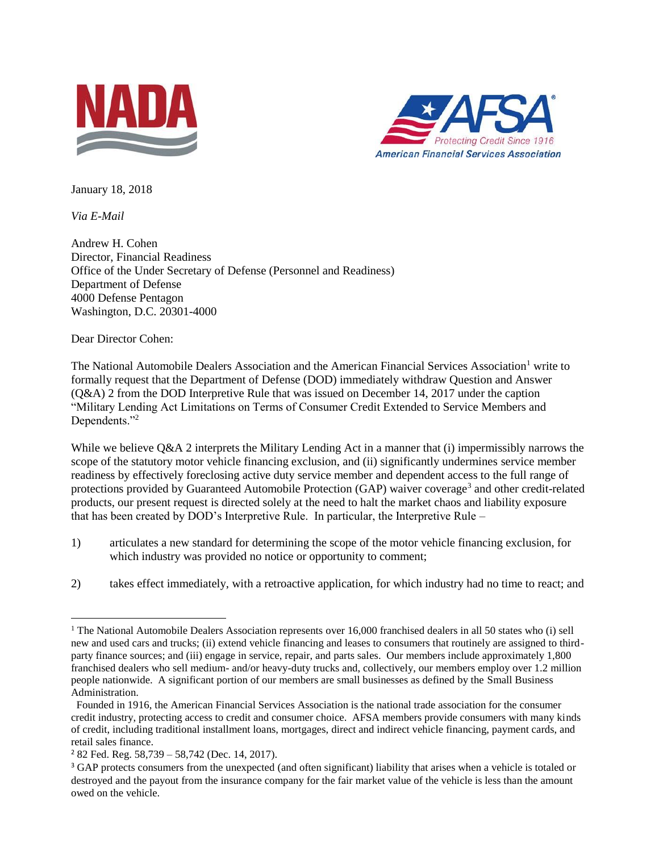



January 18, 2018

*Via E-Mail* 

Andrew H. Cohen Director, Financial Readiness Office of the Under Secretary of Defense (Personnel and Readiness) Department of Defense 4000 Defense Pentagon Washington, D.C. 20301-4000

Dear Director Cohen:

The National Automobile Dealers Association and the American Financial Services Association<sup>1</sup> write to formally request that the Department of Defense (DOD) immediately withdraw Question and Answer (Q&A) 2 from the DOD Interpretive Rule that was issued on December 14, 2017 under the caption "Military Lending Act Limitations on Terms of Consumer Credit Extended to Service Members and Dependents."<sup>2</sup>

While we believe  $Q&A$  2 interprets the Military Lending Act in a manner that (i) impermissibly narrows the scope of the statutory motor vehicle financing exclusion, and (ii) significantly undermines service member readiness by effectively foreclosing active duty service member and dependent access to the full range of protections provided by Guaranteed Automobile Protection (GAP) waiver coverage<sup>3</sup> and other credit-related products, our present request is directed solely at the need to halt the market chaos and liability exposure that has been created by DOD's Interpretive Rule. In particular, the Interpretive Rule –

- 1) articulates a new standard for determining the scope of the motor vehicle financing exclusion, for which industry was provided no notice or opportunity to comment;
- 2) takes effect immediately, with a retroactive application, for which industry had no time to react; and

 $\overline{\phantom{a}}$ <sup>1</sup> The National Automobile Dealers Association represents over 16,000 franchised dealers in all 50 states who (i) sell new and used cars and trucks; (ii) extend vehicle financing and leases to consumers that routinely are assigned to thirdparty finance sources; and (iii) engage in service, repair, and parts sales. Our members include approximately 1,800 franchised dealers who sell medium- and/or heavy-duty trucks and, collectively, our members employ over 1.2 million people nationwide. A significant portion of our members are small businesses as defined by the Small Business Administration.

Founded in 1916, the American Financial Services Association is the national trade association for the consumer credit industry, protecting access to credit and consumer choice. AFSA members provide consumers with many kinds of credit, including traditional installment loans, mortgages, direct and indirect vehicle financing, payment cards, and retail sales finance.

 $2$  82 Fed. Reg. 58,739 – 58,742 (Dec. 14, 2017).

<sup>&</sup>lt;sup>3</sup> GAP protects consumers from the unexpected (and often significant) liability that arises when a vehicle is totaled or destroyed and the payout from the insurance company for the fair market value of the vehicle is less than the amount owed on the vehicle.